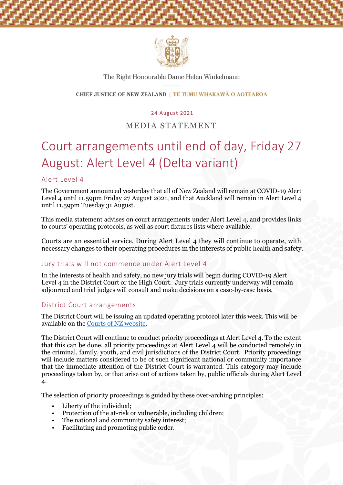

#### The Right Honourable Dame Helen Winkelmann

#### CHIEF JUSTICE OF NEW ZEALAND | TE TUMU WHAKAWĀ O AOTEAROA

#### 24 August 2021

# MEDIA STATEMENT

# Court arrangements until end of day, Friday 27 August: Alert Level 4 (Delta variant)

#### Alert Level 4

The Government announced yesterday that all of New Zealand will remain at COVID-19 Alert Level 4 until 11.59pm Friday 27 August 2021, and that Auckland will remain in Alert Level 4 until 11.59pm Tuesday 31 August.

This media statement advises on court arrangements under Alert Level 4, and provides links to courts' operating protocols, as well as court fixtures lists where available.

Courts are an essential service. During Alert Level 4 they will continue to operate, with necessary changes to their operating procedures in the interests of public health and safety.

#### Jury trials will not commence under Alert Level 4

In the interests of health and safety, no new jury trials will begin during COVID-19 Alert Level 4 in the District Court or the High Court. Jury trials currently underway will remain adjourned and trial judges will consult and make decisions on a case-by-case basis.

#### District Court arrangements

The District Court will be issuing an updated operating protocol later this week. This will be available on the [Courts of NZ website.](https://www.courtsofnz.govt.nz/publications/announcements/covid-19/court-protocols/high-court/)

The District Court will continue to conduct priority proceedings at Alert Level 4. To the extent that this can be done, all priority proceedings at Alert Level 4 will be conducted remotely in the criminal, family, youth, and civil jurisdictions of the District Court. Priority proceedings will include matters considered to be of such significant national or community importance that the immediate attention of the District Court is warranted. This category may include proceedings taken by, or that arise out of actions taken by, public officials during Alert Level 4.

The selection of priority proceedings is guided by these over-arching principles:

- Liberty of the individual;
- Protection of the at-risk or vulnerable, including children;
- The national and community safety interest;
- Facilitating and promoting public order.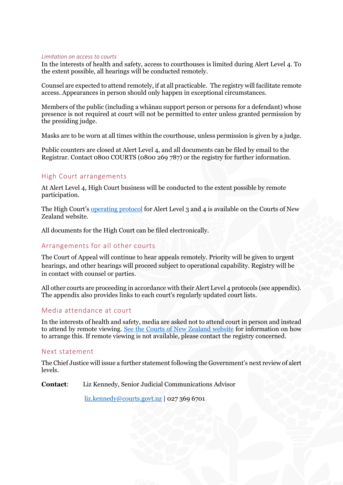#### *Limitation on access to courts*

In the interests of health and safety, access to courthouses is limited during Alert Level 4. To the extent possible, all hearings will be conducted remotely.

Counsel are expected to attend remotely, if at all practicable. The registry will facilitate remote access. Appearances in person should only happen in exceptional circumstances.

Members of the public (including a whānau support person or persons for a defendant) whose presence is not required at court will not be permitted to enter unless granted permission by the presiding judge.

Masks are to be worn at all times within the courthouse, unless permission is given by a judge.

Public counters are closed at Alert Level 4, and all documents can be filed by email to the Registrar. Contact 0800 COURTS (0800 269 787) or the registry for further information.

#### High Court arrangements

At Alert Level 4, High Court business will be conducted to the extent possible by remote participation.

The High Court's [operating protocol](https://www.courtsofnz.govt.nz/publications/announcements/covid-19/court-protocols/high-court/) for Alert Level 3 and 4 is available on the Courts of New Zealand website.

All documents for the High Court can be filed electronically.

#### Arrangements for all other courts

The Court of Appeal will continue to hear appeals remotely. Priority will be given to urgent hearings, and other hearings will proceed subject to operational capability. Registry will be in contact with counsel or parties.

All other courts are proceeding in accordance with their Alert Level 4 protocols (see appendix). The appendix also provides links to each court's regularly updated court lists.

#### Media attendance at court

In the interests of health and safety, media are asked not to attend court in person and instead to attend by remote viewing. [See the Courts of New Zealand website](https://www.courtsofnz.govt.nz/assets/A23Media-information-guide-for-publication.pdf) for information on how to arrange this. If remote viewing is not available, please contact the registry concerned.

#### Next statement

The Chief Justice will issue a further statement following the Government's next review of alert levels.

**Contact**: Liz Kennedy, Senior Judicial Communications Advisor

[liz.kennedy@courts.govt.nz](mailto:liz.kennedy@courts.govt.nz) | 027 369 6701